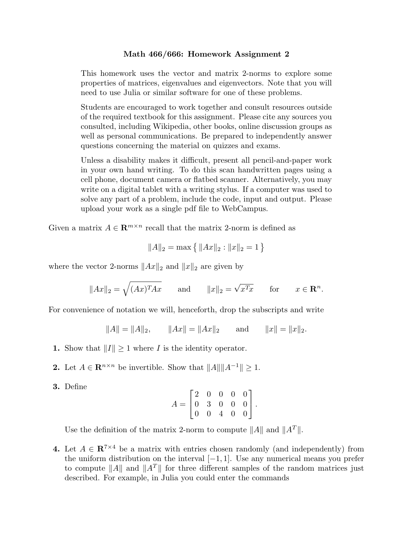## **Math 466/666: Homework Assignment 2**

This homework uses the vector and matrix 2-norms to explore some properties of matrices, eigenvalues and eigenvectors. Note that you will need to use Julia or similar software for one of these problems.

Students are encouraged to work together and consult resources outside of the required textbook for this assignment. Please cite any sources you consulted, including Wikipedia, other books, online discussion groups as well as personal communications. Be prepared to independently answer questions concerning the material on quizzes and exams.

Unless a disability makes it difficult, present all pencil-and-paper work in your own hand writing. To do this scan handwritten pages using a cell phone, document camera or flatbed scanner. Alternatively, you may write on a digital tablet with a writing stylus. If a computer was used to solve any part of a problem, include the code, input and output. Please upload your work as a single pdf file to WebCampus.

Given a matrix  $A \in \mathbb{R}^{m \times n}$  recall that the matrix 2-norm is defined as

$$
||A||_2 = \max\left\{ ||Ax||_2 : ||x||_2 = 1 \right\}
$$

where the vector 2-norms *∥Ax∥*<sup>2</sup> and *∥x∥*<sup>2</sup> are given by

$$
||Ax||_2 = \sqrt{(Ax)^T Ax}
$$
 and  $||x||_2 = \sqrt{x^T x}$  for  $x \in \mathbb{R}^n$ .

For convenience of notation we will, henceforth, drop the subscripts and write

 $||A|| = ||A||_2$ ,  $||Ax|| = ||Ax||_2$  and  $||x|| = ||x||_2$ .

- 1. Show that  $||I|| \geq 1$  where *I* is the identity operator.
- 2. Let  $A \in \mathbb{R}^{n \times n}$  be invertible. Show that  $||A|| ||A^{-1}|| \geq 1$ .
- **3.** Define

$$
A = \begin{bmatrix} 2 & 0 & 0 & 0 & 0 \\ 0 & 3 & 0 & 0 & 0 \\ 0 & 0 & 4 & 0 & 0 \end{bmatrix}.
$$

Use the definition of the matrix 2-norm to compute  $||A||$  and  $||A^T||$ .

**4.** Let  $A \in \mathbb{R}^{7 \times 4}$  be a matrix with entries chosen randomly (and independently) from the uniform distribution on the interval [*−*1*,* 1]. Use any numerical means you prefer to compute *∥A∥* and *∥A<sup>T</sup> ∥* for three different samples of the random matrices just described. For example, in Julia you could enter the commands